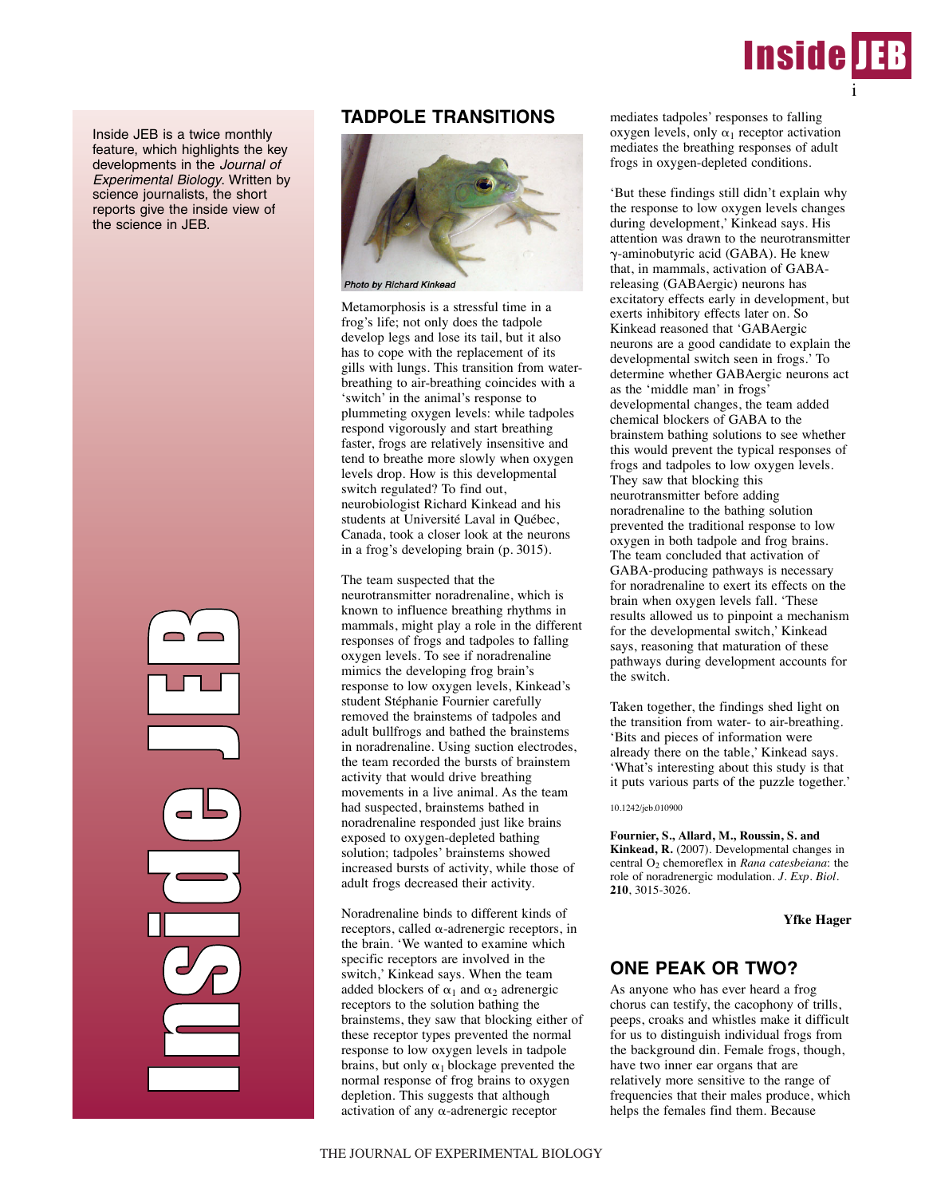



### **TADPOLE TRANSITIONS**



hoto by Richard Kinkead

Metamorphosis is a stressful time in a frog's life; not only does the tadpole develop legs and lose its tail, but it also has to cope with the replacement of its gills with lungs. This transition from waterbreathing to air-breathing coincides with a 'switch' in the animal's response to plummeting oxygen levels: while tadpoles respond vigorously and start breathing faster, frogs are relatively insensitive and tend to breathe more slowly when oxygen levels drop. How is this developmental switch regulated? To find out, neurobiologist Richard Kinkead and his students at Université Laval in Québec, Canada, took a closer look at the neurons in a frog's developing brain (p. 3015).

The team suspected that the neurotransmitter noradrenaline, which is known to influence breathing rhythms in mammals, might play a role in the different responses of frogs and tadpoles to falling oxygen levels. To see if noradrenaline mimics the developing frog brain's response to low oxygen levels, Kinkead's student Stéphanie Fournier carefully removed the brainstems of tadpoles and adult bullfrogs and bathed the brainstems in noradrenaline. Using suction electrodes, the team recorded the bursts of brainstem activity that would drive breathing movements in a live animal. As the team had suspected, brainstems bathed in noradrenaline responded just like brains exposed to oxygen-depleted bathing solution; tadpoles' brainstems showed increased bursts of activity, while those of adult frogs decreased their activity.

Noradrenaline binds to different kinds of  $receptors$ , called  $\alpha$ -adrenergic receptors, in the brain. 'We wanted to examine which specific receptors are involved in the switch,' Kinkead says. When the team added blockers of  $\alpha_1$  and  $\alpha_2$  adrenergic receptors to the solution bathing the brainstems, they saw that blocking either of these receptor types prevented the normal response to low oxygen levels in tadpole brains, but only  $\alpha_1$  blockage prevented the normal response of frog brains to oxygen depletion. This suggests that although activation of any  $\alpha$ -adrenergic receptor

mediates tadpoles' responses to falling oxygen levels, only  $\alpha_1$  receptor activation mediates the breathing responses of adult frogs in oxygen-depleted conditions.

'But these findings still didn't explain why the response to low oxygen levels changes during development,' Kinkead says. His attention was drawn to the neurotransmitter  $\gamma$ -aminobutyric acid (GABA). He knew that, in mammals, activation of GABAreleasing (GABAergic) neurons has excitatory effects early in development, but exerts inhibitory effects later on. So Kinkead reasoned that 'GABAergic neurons are a good candidate to explain the developmental switch seen in frogs.' To determine whether GABAergic neurons act as the 'middle man' in frogs' developmental changes, the team added chemical blockers of GABA to the brainstem bathing solutions to see whether this would prevent the typical responses of frogs and tadpoles to low oxygen levels. They saw that blocking this neurotransmitter before adding noradrenaline to the bathing solution prevented the traditional response to low oxygen in both tadpole and frog brains. The team concluded that activation of GABA-producing pathways is necessary for noradrenaline to exert its effects on the brain when oxygen levels fall. 'These results allowed us to pinpoint a mechanism for the developmental switch,' Kinkead says, reasoning that maturation of these pathways during development accounts for the switch.

Taken together, the findings shed light on the transition from water- to air-breathing. 'Bits and pieces of information were already there on the table,' Kinkead says. 'What's interesting about this study is that it puts various parts of the puzzle together.'

10.1242/jeb.010900

**Fournier, S., Allard, M., Roussin, S. and Kinkead, R.** (2007). Developmental changes in central O2 chemoreflex in *Rana catesbeiana*: the role of noradrenergic modulation. *J. Exp. Biol.* **210**, 3015-3026.

**Yfke Hager**

### **ONE PEAK OR TWO?**

As anyone who has ever heard a frog chorus can testify, the cacophony of trills, peeps, croaks and whistles make it difficult for us to distinguish individual frogs from the background din. Female frogs, though, have two inner ear organs that are relatively more sensitive to the range of frequencies that their males produce, which helps the females find them. Because

Inside JEB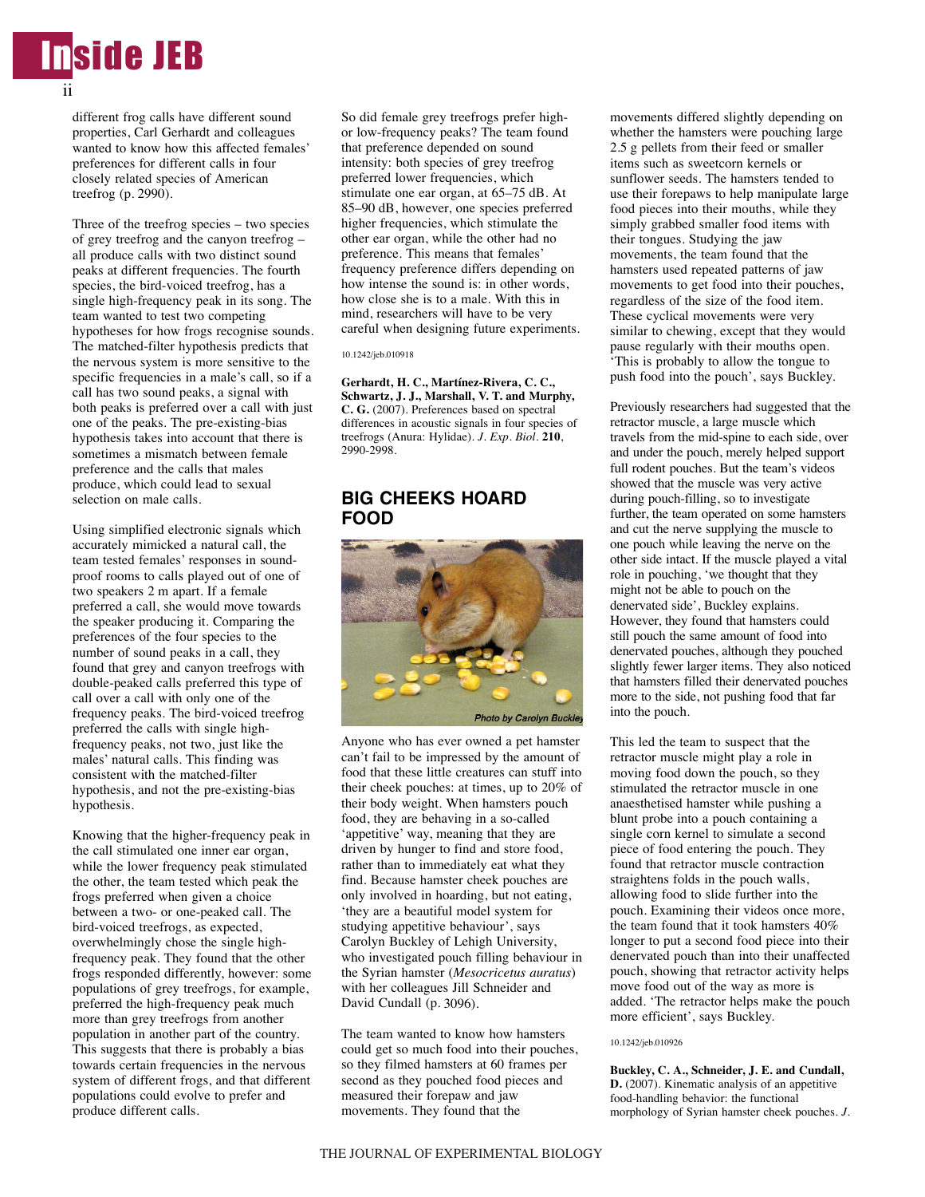

ii

different frog calls have different sound properties, Carl Gerhardt and colleagues wanted to know how this affected females' preferences for different calls in four closely related species of American treefrog  $(p. 2990)$ .

Three of the treefrog species – two species of grey treefrog and the canyon treefrog – all produce calls with two distinct sound peaks at different frequencies. The fourth species, the bird-voiced treefrog, has a single high-frequency peak in its song. The team wanted to test two competing hypotheses for how frogs recognise sounds. The matched-filter hypothesis predicts that the nervous system is more sensitive to the specific frequencies in a male's call, so if a call has two sound peaks, a signal with both peaks is preferred over a call with just one of the peaks. The pre-existing-bias hypothesis takes into account that there is sometimes a mismatch between female preference and the calls that males produce, which could lead to sexual selection on male calls.

Using simplified electronic signals which accurately mimicked a natural call, the team tested females' responses in soundproof rooms to calls played out of one of two speakers 2 m apart. If a female preferred a call, she would move towards the speaker producing it. Comparing the preferences of the four species to the number of sound peaks in a call, they found that grey and canyon treefrogs with double-peaked calls preferred this type of call over a call with only one of the frequency peaks. The bird-voiced treefrog preferred the calls with single highfrequency peaks, not two, just like the males' natural calls. This finding was consistent with the matched-filter hypothesis, and not the pre-existing-bias hypothesis.

Knowing that the higher-frequency peak in the call stimulated one inner ear organ, while the lower frequency peak stimulated the other, the team tested which peak the frogs preferred when given a choice between a two- or one-peaked call. The bird-voiced treefrogs, as expected, overwhelmingly chose the single highfrequency peak. They found that the other frogs responded differently, however: some populations of grey treefrogs, for example, preferred the high-frequency peak much more than grey treefrogs from another population in another part of the country. This suggests that there is probably a bias towards certain frequencies in the nervous system of different frogs, and that different populations could evolve to prefer and produce different calls.

So did female grey treefrogs prefer highor low-frequency peaks? The team found that preference depended on sound intensity: both species of grey treefrog preferred lower frequencies, which stimulate one ear organ, at 65-75 dB. At 85–90 dB, however, one species preferred higher frequencies, which stimulate the other ear organ, while the other had no preference. This means that females' frequency preference differs depending on how intense the sound is: in other words, how close she is to a male. With this in mind, researchers will have to be very careful when designing future experiments.

10.1242/jeb.010918

**Gerhardt, H. C., Martínez-Rivera, C. C., Schwartz, J. J., Marshall, V. T. and Murphy, C. G.** (2007). Preferences based on spectral differences in acoustic signals in four species of treefrogs (Anura: Hylidae). *J. Exp. Biol.* **210**, 2990-2998.

## **BIG CHEEKS HOARD FOOD**



Anyone who has ever owned a pet hamster can't fail to be impressed by the amount of food that these little creatures can stuff into their cheek pouches: at times, up to 20% of their body weight. When hamsters pouch food, they are behaving in a so-called 'appetitive' way, meaning that they are driven by hunger to find and store food, rather than to immediately eat what they find. Because hamster cheek pouches are only involved in hoarding, but not eating, 'they are a beautiful model system for studying appetitive behaviour', says Carolyn Buckley of Lehigh University, who investigated pouch filling behaviour in the Syrian hamster (*Mesocricetus auratus*) with her colleagues Jill Schneider and David Cundall (p. 3096).

The team wanted to know how hamsters could get so much food into their pouches, so they filmed hamsters at 60 frames per second as they pouched food pieces and measured their forepaw and jaw movements. They found that the

movements differed slightly depending on whether the hamsters were pouching large 2.5 g pellets from their feed or smaller items such as sweetcorn kernels or sunflower seeds. The hamsters tended to use their forepaws to help manipulate large food pieces into their mouths, while they simply grabbed smaller food items with their tongues. Studying the jaw movements, the team found that the hamsters used repeated patterns of jaw movements to get food into their pouches, regardless of the size of the food item. These cyclical movements were very similar to chewing, except that they would pause regularly with their mouths open. 'This is probably to allow the tongue to push food into the pouch', says Buckley.

Previously researchers had suggested that the retractor muscle, a large muscle which travels from the mid-spine to each side, over and under the pouch, merely helped support full rodent pouches. But the team's videos showed that the muscle was very active during pouch-filling, so to investigate further, the team operated on some hamsters and cut the nerve supplying the muscle to one pouch while leaving the nerve on the other side intact. If the muscle played a vital role in pouching, 'we thought that they might not be able to pouch on the denervated side', Buckley explains. However, they found that hamsters could still pouch the same amount of food into denervated pouches, although they pouched slightly fewer larger items. They also noticed that hamsters filled their denervated pouches more to the side, not pushing food that far into the pouch.

This led the team to suspect that the retractor muscle might play a role in moving food down the pouch, so they stimulated the retractor muscle in one anaesthetised hamster while pushing a blunt probe into a pouch containing a single corn kernel to simulate a second piece of food entering the pouch. They found that retractor muscle contraction straightens folds in the pouch walls, allowing food to slide further into the pouch. Examining their videos once more, the team found that it took hamsters 40% longer to put a second food piece into their denervated pouch than into their unaffected pouch, showing that retractor activity helps move food out of the way as more is added. 'The retractor helps make the pouch more efficient', says Buckley.

#### 10.1242/jeb.010926

**Buckley, C. A., Schneider, J. E. and Cundall, D.** (2007). Kinematic analysis of an appetitive food-handling behavior: the functional morphology of Syrian hamster cheek pouches. *J.*